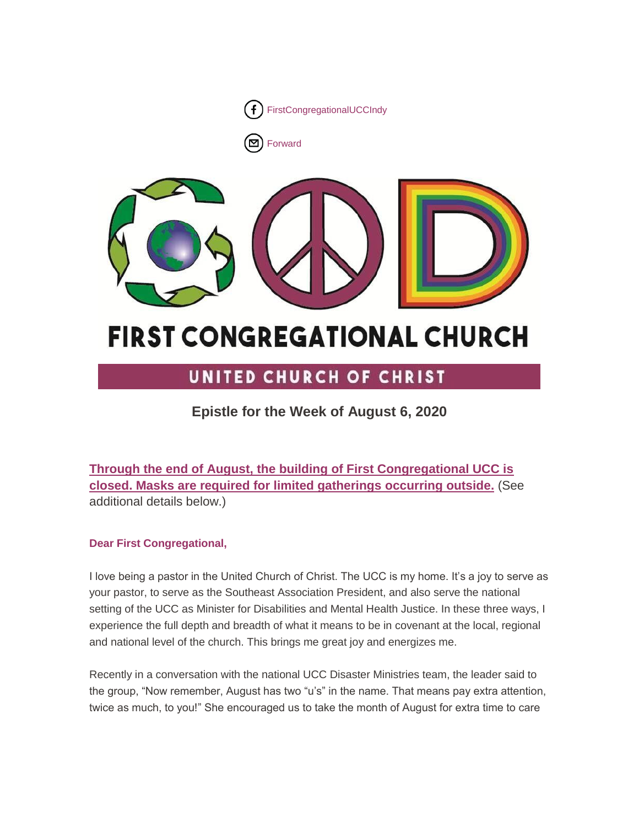

[Forward](http://us16.forward-to-friend.com/forward?u=7a2e4c501545b6d78729a64a1&id=ed2c62aa4f&e=%5bUNIQID%5d)



# **FIRST CONGREGATIONAL CHURCH**

# UNITED CHURCH OF CHRIST

# **Epistle for the Week of August 6, 2020**

**Through the end of August, the building of First Congregational UCC is closed. Masks are required for limited gatherings occurring outside.** (See additional details below.)

# **Dear First Congregational,**

I love being a pastor in the United Church of Christ. The UCC is my home. It's a joy to serve as your pastor, to serve as the Southeast Association President, and also serve the national setting of the UCC as Minister for Disabilities and Mental Health Justice. In these three ways, I experience the full depth and breadth of what it means to be in covenant at the local, regional and national level of the church. This brings me great joy and energizes me.

Recently in a conversation with the national UCC Disaster Ministries team, the leader said to the group, "Now remember, August has two "u's" in the name. That means pay extra attention, twice as much, to you!" She encouraged us to take the month of August for extra time to care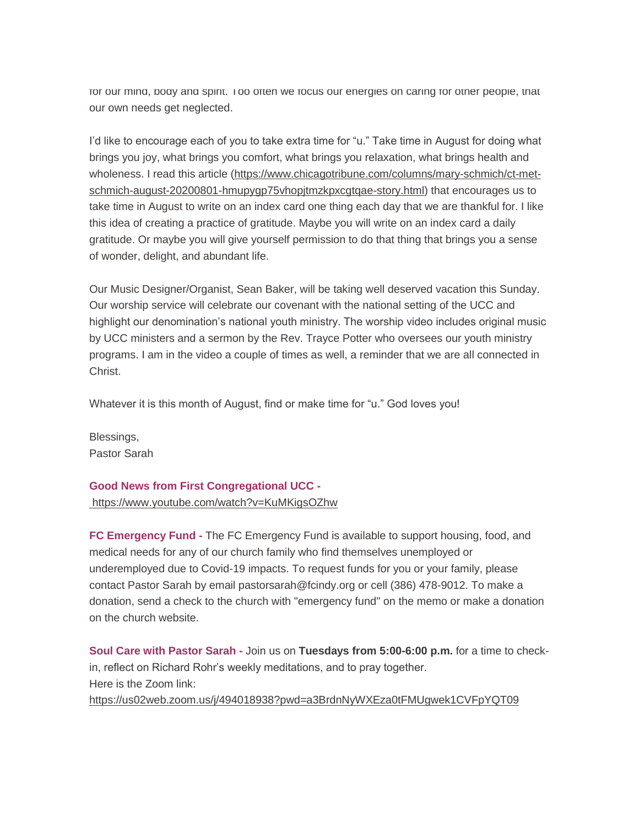for our mind, body and spirit. Too often we focus our energies on caring for other people, that our own needs get neglected.

I'd like to encourage each of you to take extra time for "u." Take time in August for doing what brings you joy, what brings you comfort, what brings you relaxation, what brings health and wholeness. I read this article [\(https://www.chicagotribune.com/columns/mary-schmich/ct-met](https://www.chicagotribune.com/columns/mary-schmich/ct-met-schmich-august-20200801-hmupygp75vhopjtmzkpxcgtqae-story.html)[schmich-august-20200801-hmupygp75vhopjtmzkpxcgtqae-story.html\)](https://www.chicagotribune.com/columns/mary-schmich/ct-met-schmich-august-20200801-hmupygp75vhopjtmzkpxcgtqae-story.html) that encourages us to take time in August to write on an index card one thing each day that we are thankful for. I like this idea of creating a practice of gratitude. Maybe you will write on an index card a daily gratitude. Or maybe you will give yourself permission to do that thing that brings you a sense of wonder, delight, and abundant life.

Our Music Designer/Organist, Sean Baker, will be taking well deserved vacation this Sunday. Our worship service will celebrate our covenant with the national setting of the UCC and highlight our denomination's national youth ministry. The worship video includes original music by UCC ministers and a sermon by the Rev. Trayce Potter who oversees our youth ministry programs. I am in the video a couple of times as well, a reminder that we are all connected in Christ.

Whatever it is this month of August, find or make time for "u." God loves you!

Blessings, Pastor Sarah

# **Good News from First Congregational UCC**  <https://www.youtube.com/watch?v=KuMKigsOZhw>

**FC Emergency Fund -** The FC Emergency Fund is available to support housing, food, and medical needs for any of our church family who find themselves unemployed or underemployed due to Covid-19 impacts. To request funds for you or your family, please contact Pastor Sarah by email pastorsarah@fcindy.org or cell (386) 478-9012. To make a donation, send a check to the church with "emergency fund" on the memo or make a donation on the church website.

**Soul Care with Pastor Sarah -** Join us on **Tuesdays from 5:00-6:00 p.m.** for a time to checkin, reflect on Richard Rohr's weekly meditations, and to pray together. Here is the Zoom link: <https://us02web.zoom.us/j/494018938?pwd=a3BrdnNyWXEza0tFMUgwek1CVFpYQT09>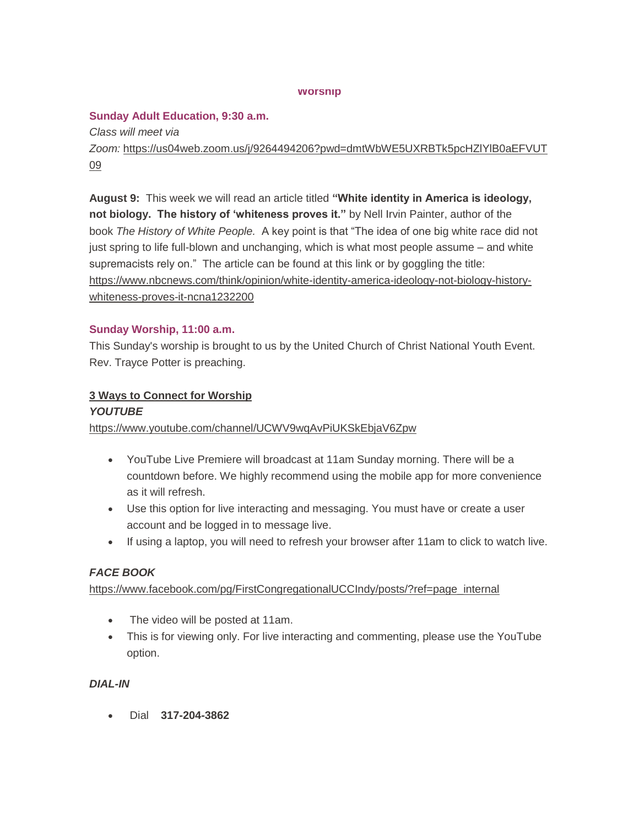#### **Worship**

# **Sunday Adult Education, 9:30 a.m.**

*Class will meet via Zoom:* [https://us04web.zoom.us/j/9264494206?pwd=dmtWbWE5UXRBTk5pcHZlYlB0aEFVUT](https://us04web.zoom.us/j/9264494206?pwd=dmtWbWE5UXRBTk5pcHZlYlB0aEFVUT09) [09](https://us04web.zoom.us/j/9264494206?pwd=dmtWbWE5UXRBTk5pcHZlYlB0aEFVUT09)

**August 9:** This week we will read an article titled **"White identity in America is ideology, not biology. The history of 'whiteness proves it."** by Nell Irvin Painter, author of the book *The History of White People.* A key point is that "The idea of one big white race did not just spring to life full-blown and unchanging, which is what most people assume – and white supremacists rely on." The article can be found at this link or by goggling the title: [https://www.nbcnews.com/think/opinion/white-identity-america-ideology-not-biology-history](https://www.nbcnews.com/think/opinion/white-identity-america-ideology-not-biology-history-whiteness-proves-it-ncna1232200)[whiteness-proves-it-ncna1232200](https://www.nbcnews.com/think/opinion/white-identity-america-ideology-not-biology-history-whiteness-proves-it-ncna1232200)

## **Sunday Worship, 11:00 a.m.**

This Sunday's worship is brought to us by the United Church of Christ National Youth Event. Rev. Trayce Potter is preaching.

# **3 Ways to Connect for Worship**

#### *YOUTUBE*

<https://www.youtube.com/channel/UCWV9wqAvPiUKSkEbjaV6Zpw>

- YouTube Live Premiere will broadcast at 11am Sunday morning. There will be a countdown before. We highly recommend using the mobile app for more convenience as it will refresh.
- Use this option for live interacting and messaging. You must have or create a user account and be logged in to message live.
- If using a laptop, you will need to refresh your browser after 11am to click to watch live.

# *FACE BOOK*

[https://www.facebook.com/pg/FirstCongregationalUCCIndy/posts/?ref=page\\_internal](https://www.facebook.com/pg/FirstCongregationalUCCIndy/posts/?ref=page_internal)

- The video will be posted at 11am.
- This is for viewing only. For live interacting and commenting, please use the YouTube option.

# *DIAL-IN*

Dial **317-204-3862**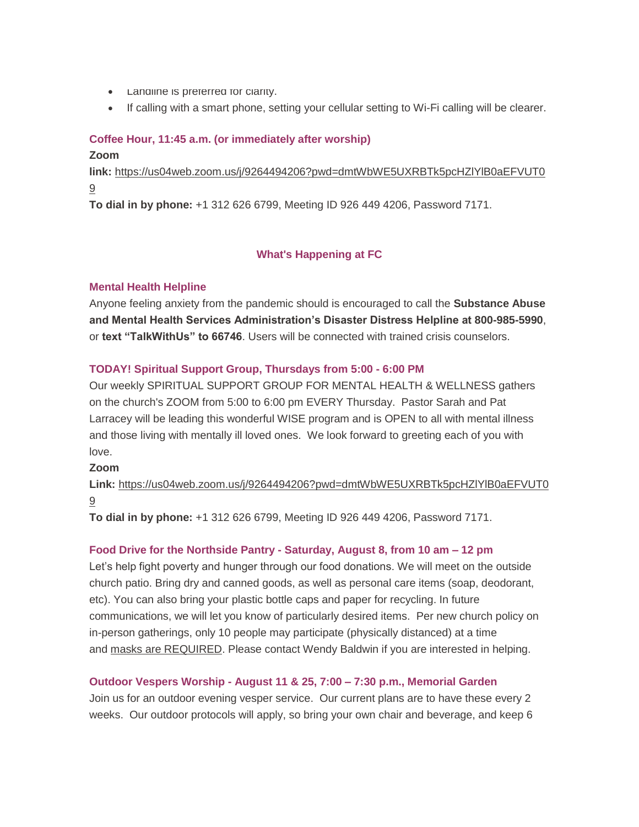- Landline is preferred for clarity.
- If calling with a smart phone, setting your cellular setting to Wi-Fi calling will be clearer.

# **Coffee Hour, 11:45 a.m. (or immediately after worship)**

#### **Zoom**

**link:** [https://us04web.zoom.us/j/9264494206?pwd=dmtWbWE5UXRBTk5pcHZlYlB0aEFVUT0](https://us04web.zoom.us/j/9264494206?pwd=dmtWbWE5UXRBTk5pcHZlYlB0aEFVUT09) [9](https://us04web.zoom.us/j/9264494206?pwd=dmtWbWE5UXRBTk5pcHZlYlB0aEFVUT09)

**To dial in by phone:** +1 312 626 6799, Meeting ID 926 449 4206, Password 7171.

# **What's Happening at FC**

## **Mental Health Helpline**

Anyone feeling anxiety from the pandemic should is encouraged to call the **Substance Abuse and Mental Health Services Administration's Disaster Distress Helpline at 800-985-5990**, or **text "TalkWithUs" to 66746**. Users will be connected with trained crisis counselors.

## **TODAY! Spiritual Support Group, Thursdays from 5:00 - 6:00 PM**

Our weekly SPIRITUAL SUPPORT GROUP FOR MENTAL HEALTH & WELLNESS gathers on the church's ZOOM from 5:00 to 6:00 pm EVERY Thursday. Pastor Sarah and Pat Larracey will be leading this wonderful WISE program and is OPEN to all with mental illness and those living with mentally ill loved ones. We look forward to greeting each of you with love.

#### **Zoom**

**Link:** [https://us04web.zoom.us/j/9264494206?pwd=dmtWbWE5UXRBTk5pcHZlYlB0aEFVUT0](https://us04web.zoom.us/j/9264494206?pwd=dmtWbWE5UXRBTk5pcHZlYlB0aEFVUT09) [9](https://us04web.zoom.us/j/9264494206?pwd=dmtWbWE5UXRBTk5pcHZlYlB0aEFVUT09)

**To dial in by phone:** +1 312 626 6799, Meeting ID 926 449 4206, Password 7171.

# **Food Drive for the Northside Pantry - Saturday, August 8, from 10 am – 12 pm**

Let's help fight poverty and hunger through our food donations. We will meet on the outside church patio. Bring dry and canned goods, as well as personal care items (soap, deodorant, etc). You can also bring your plastic bottle caps and paper for recycling. In future communications, we will let you know of particularly desired items. Per new church policy on in-person gatherings, only 10 people may participate (physically distanced) at a time and masks are REQUIRED. Please contact Wendy Baldwin if you are interested in helping.

# **Outdoor Vespers Worship - August 11 & 25, 7:00 – 7:30 p.m., Memorial Garden**

Join us for an outdoor evening vesper service. Our current plans are to have these every 2 weeks. Our outdoor protocols will apply, so bring your own chair and beverage, and keep 6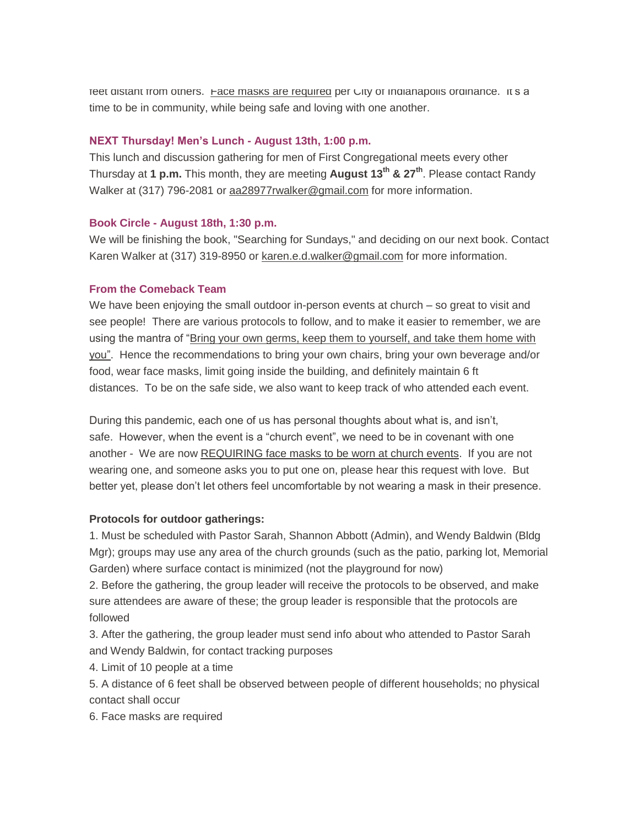feet distant from others. **Face masks are required** per City of Indianapolis ordinance. It's a time to be in community, while being safe and loving with one another.

#### **NEXT Thursday! Men's Lunch - August 13th, 1:00 p.m.**

This lunch and discussion gathering for men of First Congregational meets every other Thursday at **1 p.m.** This month, they are meeting **August 13th & 27th**. Please contact Randy Walker at (317) 796-2081 or aa28977rwalker@gmail.com for more information.

#### **Book Circle - August 18th, 1:30 p.m.**

We will be finishing the book, "Searching for Sundays," and deciding on our next book. Contact Karen Walker at (317) 319-8950 or [karen.e.d.walker@gmail.com](mailto:karen.e.d.walker@gmail.com) for more information.

#### **From the Comeback Team**

We have been enjoying the small outdoor in-person events at church – so great to visit and see people! There are various protocols to follow, and to make it easier to remember, we are using the mantra of "Bring your own germs, keep them to yourself, and take them home with you". Hence the recommendations to bring your own chairs, bring your own beverage and/or food, wear face masks, limit going inside the building, and definitely maintain 6 ft distances. To be on the safe side, we also want to keep track of who attended each event.

During this pandemic, each one of us has personal thoughts about what is, and isn't, safe. However, when the event is a "church event", we need to be in covenant with one another - We are now REQUIRING face masks to be worn at church events. If you are not wearing one, and someone asks you to put one on, please hear this request with love. But better yet, please don't let others feel uncomfortable by not wearing a mask in their presence.

#### **Protocols for outdoor gatherings:**

1. Must be scheduled with Pastor Sarah, Shannon Abbott (Admin), and Wendy Baldwin (Bldg Mgr); groups may use any area of the church grounds (such as the patio, parking lot, Memorial Garden) where surface contact is minimized (not the playground for now)

2. Before the gathering, the group leader will receive the protocols to be observed, and make sure attendees are aware of these; the group leader is responsible that the protocols are followed

3. After the gathering, the group leader must send info about who attended to Pastor Sarah and Wendy Baldwin, for contact tracking purposes

4. Limit of 10 people at a time

5. A distance of 6 feet shall be observed between people of different households; no physical contact shall occur

6. Face masks are required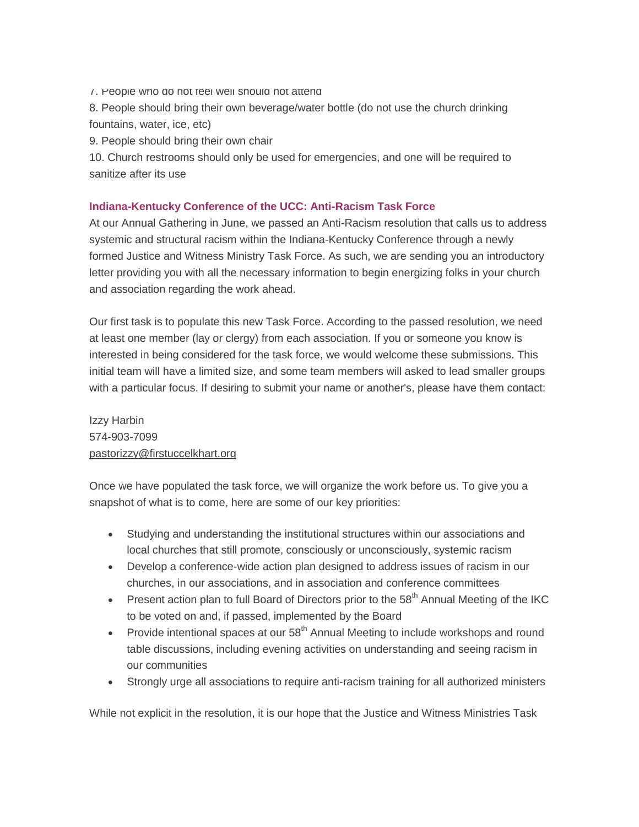7. People who do not feel well should not attend

8. People should bring their own beverage/water bottle (do not use the church drinking fountains, water, ice, etc)

9. People should bring their own chair

10. Church restrooms should only be used for emergencies, and one will be required to sanitize after its use

# **Indiana-Kentucky Conference of the UCC: Anti-Racism Task Force**

At our Annual Gathering in June, we passed an Anti-Racism resolution that calls us to address systemic and structural racism within the Indiana-Kentucky Conference through a newly formed Justice and Witness Ministry Task Force. As such, we are sending you an introductory letter providing you with all the necessary information to begin energizing folks in your church and association regarding the work ahead.

Our first task is to populate this new Task Force. According to the passed resolution, we need at least one member (lay or clergy) from each association. If you or someone you know is interested in being considered for the task force, we would welcome these submissions. This initial team will have a limited size, and some team members will asked to lead smaller groups with a particular focus. If desiring to submit your name or another's, please have them contact:

Izzy Harbin 574-903-7099 [pastorizzy@firstuccelkhart.org](mailto:pastorizzy@firstuccelkhart.org)

Once we have populated the task force, we will organize the work before us. To give you a snapshot of what is to come, here are some of our key priorities:

- Studying and understanding the institutional structures within our associations and local churches that still promote, consciously or unconsciously, systemic racism
- Develop a conference-wide action plan designed to address issues of racism in our churches, in our associations, and in association and conference committees
- Present action plan to full Board of Directors prior to the  $58<sup>th</sup>$  Annual Meeting of the IKC to be voted on and, if passed, implemented by the Board
- Provide intentional spaces at our  $58<sup>th</sup>$  Annual Meeting to include workshops and round table discussions, including evening activities on understanding and seeing racism in our communities
- Strongly urge all associations to require anti-racism training for all authorized ministers

While not explicit in the resolution, it is our hope that the Justice and Witness Ministries Task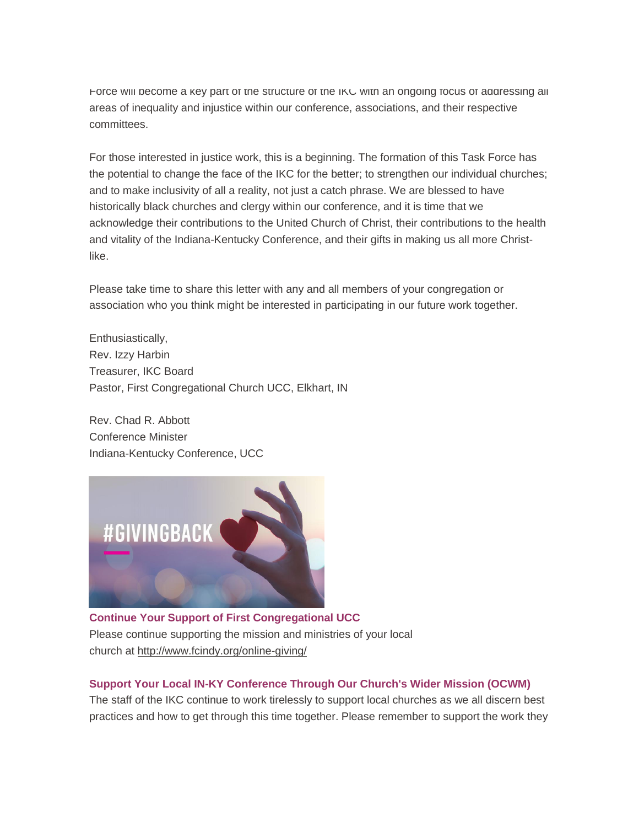Force will become a key part of the structure of the IKC with an ongoing focus of addressing all areas of inequality and injustice within our conference, associations, and their respective committees.

For those interested in justice work, this is a beginning. The formation of this Task Force has the potential to change the face of the IKC for the better; to strengthen our individual churches; and to make inclusivity of all a reality, not just a catch phrase. We are blessed to have historically black churches and clergy within our conference, and it is time that we acknowledge their contributions to the United Church of Christ, their contributions to the health and vitality of the Indiana-Kentucky Conference, and their gifts in making us all more Christlike.

Please take time to share this letter with any and all members of your congregation or association who you think might be interested in participating in our future work together.

Enthusiastically, Rev. Izzy Harbin Treasurer, IKC Board Pastor, First Congregational Church UCC, Elkhart, IN

Rev. Chad R. Abbott Conference Minister Indiana-Kentucky Conference, UCC



**Continue Your Support of First Congregational UCC** Please continue supporting the mission and ministries of your local church at <http://www.fcindy.org/online-giving/>

# **Support Your Local IN-KY Conference Through Our Church's Wider Mission (OCWM)**

The staff of the IKC continue to work tirelessly to support local churches as we all discern best practices and how to get through this time together. Please remember to support the work they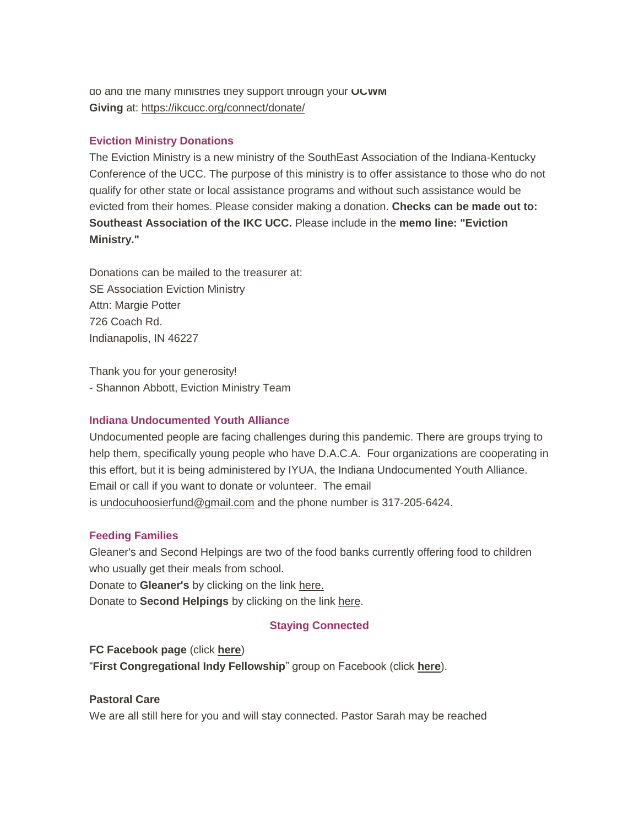do and the many ministries they support through your **OCWM Giving** at: <https://ikcucc.org/connect/donate/>

# **Eviction Ministry Donations**

The Eviction Ministry is a new ministry of the SouthEast Association of the Indiana-Kentucky Conference of the UCC. The purpose of this ministry is to offer assistance to those who do not qualify for other state or local assistance programs and without such assistance would be evicted from their homes. Please consider making a donation. **Checks can be made out to: Southeast Association of the IKC UCC.** Please include in the **memo line: "Eviction Ministry."**

Donations can be mailed to the treasurer at: SE Association Eviction Ministry Attn: Margie Potter 726 Coach Rd. Indianapolis, IN 46227

Thank you for your generosity! - Shannon Abbott, Eviction Ministry Team

# **Indiana Undocumented Youth Alliance**

Undocumented people are facing challenges during this pandemic. There are groups trying to help them, specifically young people who have D.A.C.A. Four organizations are cooperating in this effort, but it is being administered by IYUA, the Indiana Undocumented Youth Alliance. Email or call if you want to donate or volunteer. The email is [undocuhoosierfund@gmail.com](mailto:undocuhoosierfund@gmail.com) and the phone number is 317-205-6424.

# **Feeding Families**

Gleaner's and Second Helpings are two of the food banks currently offering food to children who usually get their meals from school. Donate to **Gleaner's** by clicking on the link [here.](https://secure2.convio.net/gfbin/site/Donation2;jsessionid=00000000.app20103b?idb=1780702133&1400.donation=form1&df_id=1400&mfc_pref=T&NONCE_TOKEN=3DB920EF697D2AE560C6EA7CBDF90EF8&idb=0)

Donate to **Second Helpings** by clicking on the link [here.](https://www.secondhelpings.org/donate/)

# **Staying Connected**

**FC Facebook page** (click **[here](https://www.facebook.com/FirstCongregationalUCCIndy/)**) "**First Congregational Indy Fellowship**" group on Facebook (click **[here](https://www.facebook.com/groups/521333455186422/)**).

# **Pastoral Care**

We are all still here for you and will stay connected. Pastor Sarah may be reached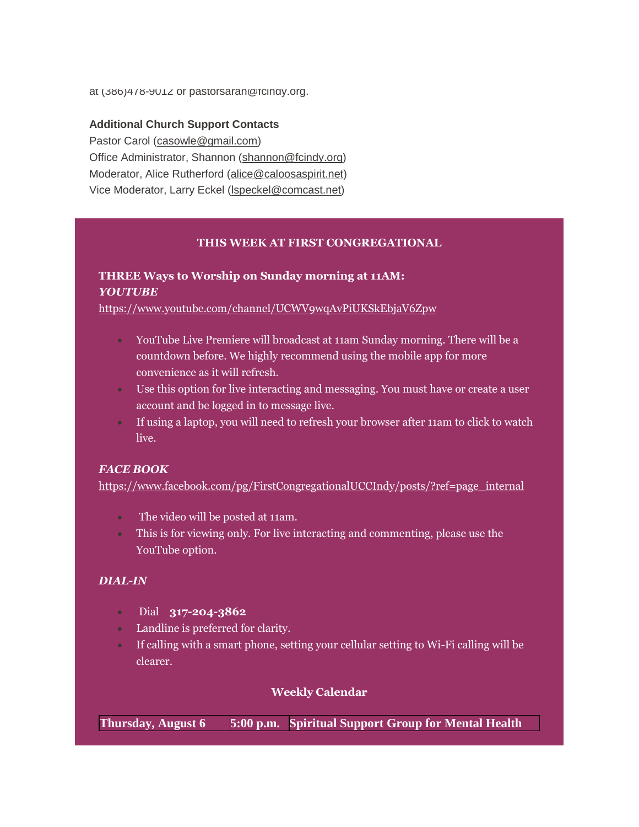at (386)478-9012 or pastorsarah@fcindy.org.

#### **Additional Church Support Contacts**

Pastor Carol [\(casowle@gmail.com\)](mailto:casowle@gmail.com) Office Administrator, Shannon [\(shannon@fcindy.org\)](mailto:shannon@fcindy.org) Moderator, Alice Rutherford [\(alice@caloosaspirit.net\)](mailto:alice@caloosaspirit.net) Vice Moderator, Larry Eckel [\(lspeckel@comcast.net\)](mailto:lspeckel@comcast.net)

#### **THIS WEEK AT FIRST CONGREGATIONAL**

# **THREE Ways to Worship on Sunday morning at 11AM:** *YOUTUBE*

<https://www.youtube.com/channel/UCWV9wqAvPiUKSkEbjaV6Zpw>

- YouTube Live Premiere will broadcast at 11am Sunday morning. There will be a countdown before. We highly recommend using the mobile app for more convenience as it will refresh.
- Use this option for live interacting and messaging. You must have or create a user account and be logged in to message live.
- If using a laptop, you will need to refresh your browser after 11am to click to watch live.

#### *FACE BOOK*

[https://www.facebook.com/pg/FirstCongregationalUCCIndy/posts/?ref=page\\_internal](https://www.facebook.com/pg/FirstCongregationalUCCIndy/posts/?ref=page_internal)

- The video will be posted at 11am.
- This is for viewing only. For live interacting and commenting, please use the YouTube option.

# *DIAL-IN*

- Dial **317-204-3862**
- Landline is preferred for clarity.
- If calling with a smart phone, setting your cellular setting to Wi-Fi calling will be clearer.

#### **Weekly Calendar**

**Thursday, August 6 5:00 p.m. Spiritual Support Group for Mental Health**